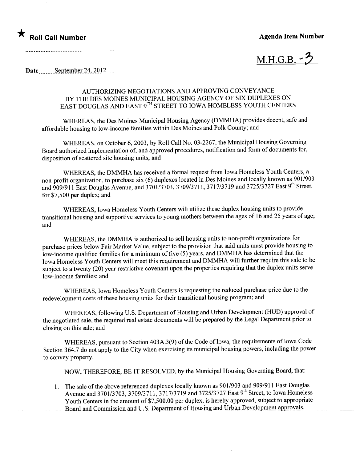## ★ Roll Call Number Agenda Item Number

 $M.H.G.B. -3$ 

Date September 24,  $2012$ 

## AUTHORIZING NEGOTIATIONS AND APPROVING CONVEYANCE BY THE DES MOINES MUNICIPAL HOUSING AGENCY OF SIX DUPLEXES ON EAST DOUGLAS AND EAST 9TH STREET TO IOWA HOMELESS YOUTH CENTERS

WHEREAS, the Des Moines Municipal Housing Agency (DMMHA) provides decent, safe and affordable housing to low-income familes within Des Moines and Polk County; and

WHEREAS, on October 6, 2003, by Roll Call No. 03-2267, the Municipal Housing Governing Board authorized implementation of, and approved procedures, notification and form of documents for, disposition of scattered site housing units; and

WHEREAS, the DMMHA has received a formal request from Iowa Homeless Youth Centers, a non-profit organization, to purchase six (6) duplexes located in Des Moines and locally known as 901/903 and 909/911 East Douglas Avenue, and 3701/3703, 3709/3711, 3717/3719 and 3725/3727 East 9<sup>th</sup> Street, for \$7,500 per duplex; and

WHEREAS, Iowa Homeless Youth Centers will utilize these duplex housing units to provide transitional housing and supportive services to young mothers between the ages of 16 and 25 years of age; and

WHEREAS, the DMMHA is authorized to sell housing units to non-profit organizations for purchase prices below Fair Market Value, subject to the provision that said units must provide housing to low-income qualified families for a minimum of five (5) years, and DMMHA has determined that the Iowa Homeless Youth Centers will meet this requirement and DMMHA will further require this sale to be subject to a twenty (20) year restrictive covenant upon the properties requiring that the duplex units serve low-income families; and

WHREAS, Iowa Homeless Youth Centers is requesting the reduced purchase price due to the redevelopment costs of these housing units for their transitional housing program; and

WHEREAS, following U.S. Department of Housing and Urban Development (HUD) approval of the negotiated sale, the required real estate documents will be prepared by the Legal Department prior to closing on this sale; and

WHEREAS, pursuant to Section 403A.3(9) of the Code of Iowa, the requirements of Iowa Code Section 364.7 do not apply to the City when exercising its municipal housing powers, including the power to convey property.

NOW, THEREFORE, BE IT RESOLVED, by the Municipal Housing Governing Board, that:

1. The sale of the above referenced duplexes locally known as 901/903 and 909/911 East Douglas Avenue and 3701/3703, 3709/3711, 3717/3719 and 3725/3727 East 9<sup>th</sup> Street, to Iowa Homeless Youth Centers in the amount of \$7,500.00 per duplex, is hereby approved, subject to appropriate Board and Commission and U.S. Department of Housing and Urban Development approvals.